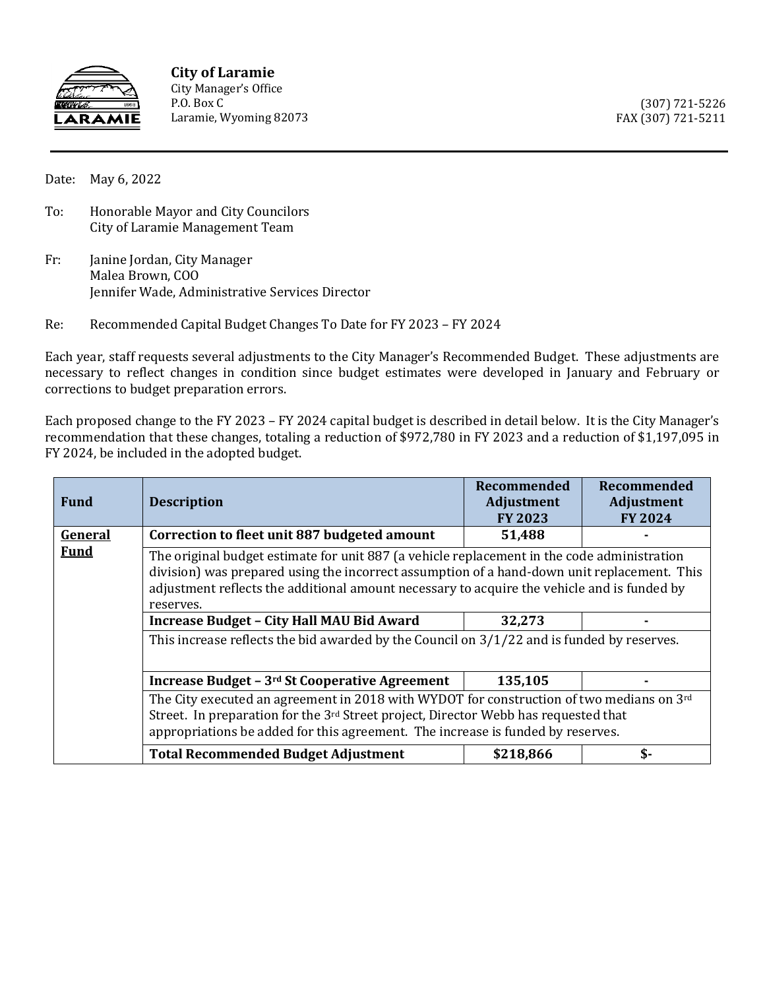

**City of Laramie** City Manager's Office P.O. Box C Laramie, Wyoming 82073

(307) 721-5226 FAX (307) 721-5211

Date: May 6, 2022

- To: Honorable Mayor and City Councilors City of Laramie Management Team
- Fr: Janine Jordan, City Manager Malea Brown, COO Jennifer Wade, Administrative Services Director
- Re: Recommended Capital Budget Changes To Date for FY 2023 FY 2024

Each year, staff requests several adjustments to the City Manager's Recommended Budget. These adjustments are necessary to reflect changes in condition since budget estimates were developed in January and February or corrections to budget preparation errors.

Each proposed change to the FY 2023 – FY 2024 capital budget is described in detail below. It is the City Manager's recommendation that these changes, totaling a reduction of \$972,780 in FY 2023 and a reduction of \$1,197,095 in FY 2024, be included in the adopted budget.

| <b>Fund</b>            | <b>Description</b>                                                                                                                                                                                                                                                                                     | Recommended<br><b>Adjustment</b><br><b>FY 2023</b> | Recommended<br>Adjustment<br><b>FY 2024</b> |  |
|------------------------|--------------------------------------------------------------------------------------------------------------------------------------------------------------------------------------------------------------------------------------------------------------------------------------------------------|----------------------------------------------------|---------------------------------------------|--|
| General<br><b>Fund</b> | Correction to fleet unit 887 budgeted amount                                                                                                                                                                                                                                                           | 51,488                                             |                                             |  |
|                        | The original budget estimate for unit 887 (a vehicle replacement in the code administration<br>division) was prepared using the incorrect assumption of a hand-down unit replacement. This<br>adjustment reflects the additional amount necessary to acquire the vehicle and is funded by<br>reserves. |                                                    |                                             |  |
|                        | <b>Increase Budget - City Hall MAU Bid Award</b>                                                                                                                                                                                                                                                       | 32,273                                             |                                             |  |
|                        | This increase reflects the bid awarded by the Council on $3/1/22$ and is funded by reserves.                                                                                                                                                                                                           |                                                    |                                             |  |
|                        | Increase Budget - 3 <sup>rd</sup> St Cooperative Agreement                                                                                                                                                                                                                                             | 135,105                                            |                                             |  |
|                        | The City executed an agreement in 2018 with WYDOT for construction of two medians on $3rd$<br>Street. In preparation for the $3^{rd}$ Street project, Director Webb has requested that<br>appropriations be added for this agreement. The increase is funded by reserves.                              |                                                    |                                             |  |
|                        | <b>Total Recommended Budget Adjustment</b>                                                                                                                                                                                                                                                             | \$218,866                                          | \$-                                         |  |